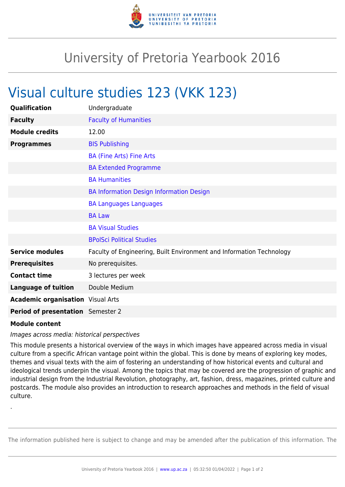

## University of Pretoria Yearbook 2016

## Visual culture studies 123 (VKK 123)

| Qualification                            | Undergraduate                                                        |
|------------------------------------------|----------------------------------------------------------------------|
| <b>Faculty</b>                           | <b>Faculty of Humanities</b>                                         |
| <b>Module credits</b>                    | 12.00                                                                |
| <b>Programmes</b>                        | <b>BIS Publishing</b>                                                |
|                                          | <b>BA (Fine Arts) Fine Arts</b>                                      |
|                                          | <b>BA Extended Programme</b>                                         |
|                                          | <b>BA Humanities</b>                                                 |
|                                          | <b>BA Information Design Information Design</b>                      |
|                                          | <b>BA Languages Languages</b>                                        |
|                                          | <b>BA Law</b>                                                        |
|                                          | <b>BA Visual Studies</b>                                             |
|                                          | <b>BPolSci Political Studies</b>                                     |
| <b>Service modules</b>                   | Faculty of Engineering, Built Environment and Information Technology |
| <b>Prerequisites</b>                     | No prerequisites.                                                    |
| <b>Contact time</b>                      | 3 lectures per week                                                  |
| <b>Language of tuition</b>               | Double Medium                                                        |
| <b>Academic organisation</b> Visual Arts |                                                                      |
| Period of presentation Semester 2        |                                                                      |
|                                          |                                                                      |

## **Module content**

.

## Images across media: historical perspectives

This module presents a historical overview of the ways in which images have appeared across media in visual culture from a specific African vantage point within the global. This is done by means of exploring key modes, themes and visual texts with the aim of fostering an understanding of how historical events and cultural and ideological trends underpin the visual. Among the topics that may be covered are the progression of graphic and industrial design from the Industrial Revolution, photography, art, fashion, dress, magazines, printed culture and postcards. The module also provides an introduction to research approaches and methods in the field of visual culture.

The information published here is subject to change and may be amended after the publication of this information. The